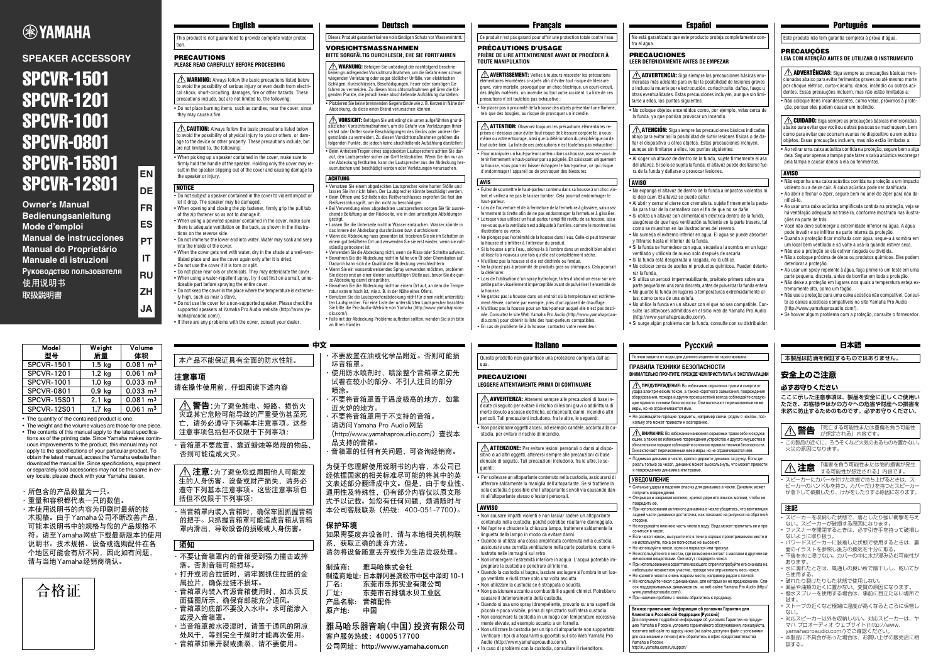### **Русский**

## **ВНИМАТЕЛЬНО ПРОЧТИТЕ, ПРЕЖДЕ ЧЕМ ПРИСТУПАТЬ К ЭКСПЛУАТАЦИИ**

• Не размещайте горящие предметы, например свечи, рядом с чехлом, поскольку это может привести к возгоранию.

• Открывая и закрывая молнию, крепко держите язычок молнии, чтобы не

повредить ее.

• При использовании активного динамика в чехле убедитесь, что вентиляция задней части динамика достаточна, как показано на рисунках на обратной

стороне.

- 
- Не погружайте нижнюю часть чехла в воду. Вода может пропитать ее и про-
- Если чехол намок, высушите его в тени в хорошо проветриваемом месте и не используйте, пока он полностью не высохнет.
- Не используйте чехол, если он порвался или треснул.
- Не используйте его в местах, где возможен контакт с маслами и другими химическими веществами. Они могут повредить чехол. • При использовании водоотталкивающего спрея попробуйте его сначала на
- небольшом незаметном участке, прежде чем опрыскивать весь чехол. • Не храните чехол в очень жарком месте, например рядом с плитой.
- Не используйте чехол с динамиками, для которых он не предназначен. Спи-сок поддерживаемых динамиков см. на веб-сайте Yamaha Pro Audio (http://

сочиться в чехол.

- ющим, а также во избежание повреждения устройства и другого имущества в обязательном порядке соблюдайте основные правила техники безопасности. Они включают перечисленные ниже меры, но не ограничиваются ими.
- Поднимая динамик в чехле, крепко держите динамик за ручку. Если держать только за чехол, динамик может выскользнуть, что может привест .<br>К повреждению динамика или травме.

### получить повреждения. **УВЕДОМЛЕНИЕ**

### **VORSICHTSMASSNAHMEN BITTE SORGFÄLTIG DURCHLESEN, EHE SIE FORTFAHREN**

www.yamahaproaudio.com/).

• При наличии проблем с чехлом обратитесь к продавцу.

## Полная защита от воды для данного изделия не гарантирована.

**ПРЕДУПРЕЖДЕНИЕ:** Во избежание серьезных травм и смерти от удара электрическим током, а также короткого замыкания, повреждения ......<br>оборудования, пожара и других происшествий всегда соблюдайте следук щие правила техники безопасности. Они включают перечисленные ниже

меры, но не ограничиваются ими.

**ВНИМАНИЕ:** Во избежание нанесения серьезных травм себе и окружа-

• Сильные удары и падения опасны для динамика в чехле. Динамик може

**Важное примечание: Информация об условиях Гарантии для Клиентов в Российской Федерации [Русский]** 

Для получения подробной информации об условиях Гарантии на продук-.<br>ию Yamaha в России, условиях гарантийного обслуживания, пожалуйста посетите веб-сайт по адресу ниже (на сайте доступен файл с услови для скачивания и печати) или обратитесь в офис представительства

### **= Português =**

Yamaha в России. http://ru.yamaha.com/ru/support/

• Do not place burning items, such as candles, near the cover, since they may cause a fire.

> der Abdeckung festhalten, kann der Lautsprecher aus der Abdeckung herausrutschen und beschädigt werden oder Verletzungen verursachen.

• Versetzen Sie einem abgedeckten Lautsprecher keine harten Stöße und lassen Sie ihn nicht fallen. Der Lautsprecher könnte beschädigt werden. • Beim Öffnen und Schließen des Reißverschlusses ergreifen Sie fest den Reißverschlussgriff, um ihn nicht zu beschädigen.

• Bei Verwendung eines abgedeckten Lautsprechers sorgen Sie für ausreichende Belüftung an der Rückseite, wie in den umseitigen Abbildungen

This product is not quaranteed to provide complete water protection.

 $\bigwedge$  WARNING: Always follow the basic precautions listed below to avoid the possibility of serious injury or even death from electrical shock, short-circuiting, damages, fire or other hazards. These precautions include, but are not limited to, the following:

• Platzieren Sie keine brennenden Gegenstände wie z. B. Kerzen in Nähe der Abdeckung, da diese einen Brand verursachen können.  $\bigwedge$  WARNUNG: Befolgen Sie unbedingt die nachfolgend beschriebenen grundlegenden Vorsichtsmaßnahmen, um die Gefahr einer schwer wiegenden Verletzung oder sogar tödlicher Unfälle, von elektrischen Schlägen, Kurzschlüssen, Beschädigungen, Feuer oder sonstigen Gefahren zu vermeiden. Zu diesen Vorsichtsmaßnahmen gehören die folgenden Punkte, die jedoch keine abschließende Aufzählung darstellen:

 $\triangle$  CAUTION: Always follow the basic precautions listed below  $\overline{a}$  avoid the possibility of physical injury to you or others, or damage to the device or other property. These precautions include, but are not limited to, the following:

> この製品の近くに、ろうそくなど火気のあるものを置かない 火災の原因になります。

スピーカーにカバーを付けた状態で持ち上げるときは、ス ピーカーのハンドルを持つ。カバーだけを持つとスピーカー が落下して破損したり、けがをしたりする原因になります。

- gezeigt. Lassen Sie die Unterseite nicht in Wasser eintauchen. Wasser könnte in das Innere der Abdeckung durchnässen bzw. durchsickern.
- Wenn die Abdeckung nass geworden ist, trocknen Sie sie im Schatten an einem gut belüfteten Ort und verwenden Sie sie erst wieder, wenn sie vollständig getrocknet ist.
- Verwenden Sie die Abdeckung nicht, wenn sie Risse oder Schnitte aufweist. • Bewahren Sie die Abdeckung nicht in Nähe von Öl oder Chemikalien auf. Dadurch kann sich die Qualität der Abdeckung verschlechtern.
- Wenn Sie ein wasserabweisendes Spray verwenden möchten, probieren Sie dieses erst an einer kleinen unauffälligen Stelle aus, bevor Sie die ganze Abdeckung damit einsprühen.
- Bewahren Sie die Abdeckung nicht an einem Ort auf, an dem die Tempe-ratur extrem hoch ist, wie z. B. in der Nähe eines Ofens.
- Benutzen Sie die Lautsprecherabdeckung nicht für einen nicht unterstützten Lautsprecher. Für eine Liste der unterstützten Lautsprecher beachten Sie bitte die Pro-Audio-Website von Yamaha (http://www.yamahaproau-
- dio.com/). • Falls mit der Abdeckung Probleme auftreten sollten, wenden Sie sich bitte an Ihren Händler.

• Beim Anheben/Tragen eines abgedeckten Lautsprechers achten Sie darauf, den Lautsprecher sicher am Griff festzuhalten. Wenn Sie ihn nur an  $\triangle$  **VORSICHT:** Befolgen Sie unbedingt die unten aufgeführten grund sätzlichen Vorsichtsmaßnahmen, um die Gefahr von Verletzungen Ihner selbst oder Dritter sowie Beschädigungen des Geräts oder anderer Gegenstände zu vermeiden. Zu diesen Vorsichtsmaßnahmen gehören die folgenden Punkte, die jedoch keine abschließende Aufzählung darstellen:

### ACHTUNG

# **EXPAMAHA**

### **SPEAKER ACCESSORY**

# SPCVR-1501 SPCVR-1201 SPCVR-1001 SPCVR-0801 SPCVR-15S01 SPCVR-12S01

**Owner's Manual Bedienungsanleitung Mode d'emploi Manual de instrucciones Manual do Proprietário Manuale di istruzioni Руководство пользователя** 使用说明书 取扱説明書

**EN**

**DE**

**FR**

**ES**

**PT**

**IT**

**RU**

**ZH**

**JA**

### PRECAUTIONS **PLEASE READ CAREFULLY BEFORE PROCEEDING**

• When picking up a speaker contained in the cover, make sure to firmly hold the handle of the speaker. Holding only the cover may result in the speaker slipping out of the cover and causing damage to the speaker or injury.

### **NOTICE**

AVERTISSEMENT: Veillez à toujours respecter les précautions lémentaires énumérées ci-après afin d'éviter tout risque de blessure grave, voire mortelle, provoqué par un choc électrique, un court-circuit .<br>des dégâts matériels, un incendie ou tout autre accident. La liste de ce précautions n'est toutefois pas exhaustive :

 $\bigwedge$  ATTENTION: Observez toujours les précautions élémentaires reprises ci-dessous pour éviter tout risque de blessure corporelle, à vousmême ou votre entourage, ainsi que la détérioration du périphérique ou de tout autre bien. La liste de ces précautions n'est toutefois pas exhaustive :  $\triangle$  ADVERTÊNCIAS: Siga sempre as precauções básicas mencionadas abaixo para evitar ferimentos graves ou até mesmo morte por choque elétrico, curto-circuito, danos, incêndio ou outros acidentes. Essas precauções incluem, mas não estão limitadas a:

**CUIDADO:** Siga sempre as precauções básicas mencionadas abaixo para evitar que você ou outras pessoas se machuquem, bem como para evitar que ocorram avarias no dispositivo ou em outros objetos. Essas precauções incluem, mas não estão limitadas a:

- Do not subject a speaker contained in the cover to violent impact or let it drop. The speaker may be damaged.
- When opening and closing the zip fastener, firmly grip the pull tab of the zip fastener so as not to damage it.
- When using a powered speaker contained in the cover, make sure there is adequate ventilation on the back, as shown in the illustrations on the reverse side.
- Do not immerse the lower end into water. Water may soak and seep into the inside of the cover.
- When the cover gets wet with water, dry in the shade at a well-ventilated place and use the cover again only after it is dried.
- Do not use the cover if it is torn or split. • Do not place near oils or chemicals. They may deteriorate the cover. • When using a water-repellent spray, try it out first on a small, unno-
- ticeable part before spraying the entire cover. • Do not keep the cover in the place where the temperature is extreme-
- ly high, such as near a stove. • Do not use the cover for a non-supported speaker. Please check the
- supported speakers at Yamaha Pro Audio website (http://www.yamahaproaudio.com/).
- If there are any problems with the cover, consult your dealer.
- 注意事项 请在操作使用前,仔细阅读下述内容 ·音箱罩不要放置、靠近蜡烛等燃烧的物品, 否则可能造成火灾。 当音箱罩内装入音箱时,确保牢固抓握音箱 ·不要放置在油或化学品附近。否则可能损 坏音箱罩。 使用防水喷剂时,喷涂整个音箱罩之前先 试着在较小的部分、不引人注目的部分 喷涂。 ·不要将音箱罩置于温度极高的地方,如靠 近火炉的地方。 ·不要将音箱罩用于不支持的音箱。 请访问Yamaha Pro Audio网站 (http://www.yamahaproaudio.com/)查找本 品支持的音箱。 ·音箱罩的任何有关问题,可咨询经销商。 为便于您理解使用说明书的内容,本公司已 经依据国家的相关标准尽可能的将其中的英 文表述部分翻译成中文。但是,由于专业性、 通用性及特殊性,仍有部分内容仅以原文形 式予以记载。如您有任何问题,烦请随时与 本公司客服联系(热线:400-051-7700)。 本产品不能保证具有全面的防水性能。 ∕ 警告: 为了避免触电、短路、损伤火 灾或其它危险可能导致的严重受伤甚至死 亡,请务必遵守下列基本注意事项。这些 注意事项包括但不仅限于下列事项: 1 注意:为了避免您或周围他人可能发 生的人身伤害、设备或财产损失,请务必 遵守下列基本注意事项。这些注意事项包 括但不仅限于下列事项:
	- 的把手。只抓握音箱罩可能造成音箱从音箱 罩内滑出,导致设备的损毁或人身伤害。

### **安全上のご注意**

### **必ずお守りください**

ここに示した注意事項は、製品を安全に正しくご使用い ただき、お客様やほかの方々への危害や財産への損害を 未然に防止するためのものです。必ずお守りください。



 $\triangle$  **ADVERTENCIA:** Siga siempre las precauciones básicas enumeradas más adelante para evitar la posibilidad de lesiones graves o incluso la muerte por electrocución, cortocircuito, daños, fuego u otras eventualidades. Estas precauciones incluyen, aunque sin limi-

- スピーカーを収納した状態で、落としたり強い衝撃を与え
- ない。スピーカーが破損する原因になります。 • ファスナーを開閉するときは、必ず引き手を持って破損し ないように取り扱う。
- パワードスピーカーに装着した状態で使用するときは、裏 面のイラストを参照し後方の換気を十分に取る。
- 下端を水に浸けない。カバーの中に水が浸み込む可能性が あります。
- 水に濡れたときは、風通しの良い所で陰干しし、乾いてか ら使用する。
- 破れたり裂けたりした状態で使用しない。
- <sub>ネー・・・</sub>。<br>- 薬品や油類の近くに置かない。変質の原因になります。 <sub>- 米品</sub>・・・・。<br>- 撥水スプレーを使用する場合は、事前に目立たない場所で
- 試す。 • ストーブの近くなど極端に温度が高くなるところに保管し  $LT<sub>1</sub>$
- 。。<br>- 対応スピーカー!!!外を収納しない。対応スピーカーは、ヤ マハ プロオーディオ ウェブサイト(http://www. wamahaproaudio.com/)でご確認ください。
- 本製品に不具合があった場合は、お買い上げの販売店に相 談する。

 $\bigwedge$  <code>ATENCIÓN:</code> Siga siempre las precauciones básicas indicadas abajo para evitar así la posibilidad de sufrir lesiones físicas o de dañar el dispositivo u otros objetos. Estas precauciones incluyen, aunque sin limitarse a ellos, los puntos siguientes:

本製品は防滴を保証するものではありません。

**警告** 「死亡する可能性または重傷を負う可能性 が想定される」内容です。

**注意** 「傷害を負う可能性または物的損害が発生 する可能性が想定される」内容です。

### **注記**

**中文**

- ·不要让音箱罩内的音箱受到强力撞击或摔 落。否则音箱可能损坏。
- ·打开或闭合拉链时,请牢固抓住拉链的金 属拉片,确保拉链不损坏。
- ·音箱罩内装入有源音箱使用时,如本页反
- 面插图所示,确保背部能充分通风。 ·音箱罩的底部不要没入水中。水可能渗入 或浸入音箱罩。
- ·当音箱罩被水浸湿时,请置于通风的阴凉 处风干,等到完全干燥时才能再次使用。
- ·音箱罩如果开裂或撕裂,请不要使用。

#### $\blacksquare$  Deutsch $\blacksquare$

Dieses Produkt garantiert keinen vollständigen Schutz vor Wassereintritt.

保护环境

如果需要废弃设备时,请与本地相关机构联

系,获取正确的废弃方法。

请勿将设备随意丢弃或作为生活垃圾处理。

制造商: 雅马哈株式会社

制造商地址: 日本静冈县滨松市中区中泽町10-1 厂名: 东莞市乐邦实业有限公司 厂址: 东莞市石排镇水贝工业区

产品名称: 音箱配件 原产地: 中国

雅马哈乐器音响(中国)投资有限公司

公司网址: http://www.yamaha.com.cn

### $\blacksquare$  Francais  $\blacksquare$

客户服务热线:4000517700

### 须知

#### PRÉCAUTIONS D'USAGE **PRIÈRE DE LIRE ATTENTIVEMENT AVANT DE PROCÉDER À TOUTE MANIPULATION**

**ПРАВИЛА ТЕХНИКИ БЕЗОПАСНОСТИ** Questo prodotto non garantisce una protezione completa dall'ac-

• Ne placez pas à proximité de la housse des objets présentant une flamme, tels que des bougies, au risque de provoquer un incendie.

 $\triangle$  **AVVERTENZA:** Attenersi sempre alle precauzioni di base indicate di seguito per evitare il rischio di lesioni gravi o addirittura di morte dovuto a scosse elettriche, cortocircuiti, danni, incendi o altri pericoli. Tali precauzioni includono, fra le altre, le seguenti:

 $\triangle$  **ATTENZIONE:** Per evitare lesioni personali o danni al dispositivo o ad altri oggetti, attenersi sempre alle precauzioni di base elencate di seguito. Tali precauzioni includono, fra le altre, le seguenti:

• Pour manipuler un haut-parleur contenu dans sa housse, assurez-vous de tenir fermement le haut-parleur par sa poignée. En saisissant uniquement la housse, vous pourriez laisser échapper le haut-parleur, ce qui risque d'endommager l'appareil ou de provoquer des blessures.

- Évitez de soumettre le haut-parleur contenu dans sa housse à un choc violent et veillez à ne pas le laisser tomber. Cela pourrait endommager le haut-parleur.
- Lors de l'ouverture et de la fermeture de la fermeture à glissière, saisissez fermement la tirette afin de ne pas endommager la fermeture à glissière. • Lorsque vous utilisez un haut-parleur amplifié revêtu de sa housse, assurez-vous que la ventilation est adéquate à l'arrière, comme le montrent les illustrations au verso.
- Ne plongez pas l'extrémité de la housse dans l'eau. Celle-ci peut traverser la housse et s'infiltrer à l'intérieur du produit.
- Si la housse a pris l'eau, séchez-la à l'ombre dans un endroit bien aéré et
- utilisez-la à nouveau une fois qu'elle est complètement sèche. • N'utilisez pas la housse si elle est déchirée ou fendue.
- Ne la placez pas à proximité de produits gras ou chimiques. Cela pourrait la détériore
- Lors de l'utilisation d'un spray hydrofuge, faites d'abord un essai sur une petite partie visuellement imperceptible avant de pulvériser l'ensemble de
- la housse. • Ne gardez pas la housse dans un endroit où la température est extrême-
- ment élevée, comme par exemple, près d'un appareil de chauffage. • N'utilisez pas la housse pour un haut-parleur auquel elle n'est pas destinée. Consultez le site Web Yamaha Pro Audio (http://www.yamahaproau-
- dio.com/) pour obtenir la liste des haut-parleurs compatibles. • En cas de problème lié à la housse, contactez votre revendeur.

AVIS

## **LEIA COM ATENÇÃO ANTES DE UTILIZAR O INSTRUMENTO**

• Não coloque itens incandescentes, como velas, próximos à proteção, porque eles podem causar um incêndio.

• Ao retirar uma caixa acústica contida na proteção, segure bem a alça dela. Segurar apenas a tampa pode fazer a caixa acústica escorregar pela tampa e causar danos a ela ou ferimentos.

- Não exponha uma caixa acústica contida na proteção a um impacto violento ou a deixe cair. A caixa acústica pode ser danificada.
- Ao abrir e fechar o zíper, segure bem no anel do zíper para não danificá-lo.
- Ao usar uma caixa acústica amplificada contida na proteção, veja se há ventilação adequada na traseira, conforme mostrado nas ilustrações na parte de trás.
- Você não deve submergir a extremidade inferior na água. A água pode invadir e se infiltrar na parte interna da proteção.
- Quando a proteção ficar molhada com água, seque-a à sombra em um local bem ventilado e só volte a usá-la quando estiver seca.
- Não use a proteção se ela estiver rasgada ou dividida.
- Não a coloque próxima de óleos ou produtos químicos. Eles podem deteriorar a proteção.
- Ao usar um spray repelente à água, faça primeiro um teste em uma parte pequena, discreta, antes de borrifar em toda a proteção.
- Não deixe a proteção em lugares nos quais a temperatura esteja extremamente alta, como um fogão.
- Não use a proteção para uma caixa acústica não compatível. Consulte as caixas acústicas compatíveis no site Yamaha Pro Audio (http://www.yamahaproaudio.com/).
- Se houver algum problema com a proteção, consulte o fornecedor.

### ■ 日本語 ■

Ce produit n'est pas garanti pour offrir une protection totale contre l'eau. tra el agua. Este produto não tem garantia completa à prova d'água.

### **PRECAUCÕES**

### AVISO

PRECAUCIONES

### **LEER DETENIDAMENTE ANTES DE EMPEZAR**

 $\blacksquare$  Español  $\blacksquare$ 

• No coloque objetos encendidos como, por ejemplo, velas cerca de la funda, ya que podrían provocar un incendio.

• Al coger un altavoz de dentro de la funda, sujete firmemente el asa del altavoz. Si solo se sujeta la funda, el altavoz puede deslizarse fuera de la funda y dañarse o provocar lesiones.

• No exponga el altavoz de dentro de la funda a impactos violentos ni

lo deje caer. El altavoz se puede dañar.

• Al abrir y cerrar el cierre con cremallera, sujete firmemente la pestaña para tirar de la cremallera con el fin de que no se dañe.

• Si utiliza un altavoz con alimentación eléctrica dentro de la funda, asegúrese de que haya ventilación suficiente en la parte trasera, tal como se muestran en las ilustraciones del reverso.

• No sumerja el extremo inferior en agua. El agua se puede absorber

y filtrarse hasta el interior de la funda.

• Si la funda se humedece con agua, séquela a la sombra en un lugar ventilado y utilícela de nuevo solo después de secarla. • Si la funda está desgarrada o rasgada, no la utilice.

• No colocar cerca de aceites ni productos químicos. Pueden deterio-

rar la funda.

• Si utiliza un aerosol impermeabilizante, pruébelo primero sobre una parte pequeña en una zona discreta, antes de pulverizar la funda entera. • No guarde la funda en lugares a temperaturas extremadamente al-

tas, como cerca de una estufa.

• No utilice la funda en un altavoz con el que no sea compatible. Consulte los altavoces admitidos en el sitio web de Yamaha Pro Audio

(http://www.yamahaproaudio.com/).

• Si surge algún problema con la funda, consulte con su distribuidor.

No está garantizado que este producto proteja completamente con-

tarse a ellos, los puntos siguientes:

AVISO

• The quantity of the contained product is one.

- The weight and the volume values are those for one piece. • The contents of this manual apply to the latest specifications as of the printing date. Since Yamaha makes continuous improvements to the product, this manual may not apply to the specifications of your particular product. To obtain the latest manual, access the Yamaha website then download the manual file. Since specifications, equipment or separately sold accessories may not be the same in every locale, please check with your Yamaha dealer.
- ·所包含的产品数量为一只。
- ·重量和容积都代表一只的数值。
- ·本使用说明书的内容为印刷时最新的技 术规格。由于Yamaha公司不断改善产品, 可能本说明书中的规格与您的产品规格不 符。请至Yamaha网站下载最新版本的使用 说明书。技术规格、设备或选购配件在各 个地区可能会有所不同,因此如有问题, 请与当地Yamaha经销商确认。

| Model<br>型묵        | Weight<br>质量      | Volume<br>体积        |
|--------------------|-------------------|---------------------|
| <b>SPCVR-1501</b>  | $1.5$ kg          | $0.081 \text{ m}^3$ |
| <b>SPCVR-1201</b>  | $1.2$ kg          | $0.061 \text{ m}^3$ |
| <b>SPCVR-1001</b>  | 1.0 <sub>kg</sub> | $0.033 \text{ m}^3$ |
| <b>SPCVR-0801</b>  | 0.9 <sub>kg</sub> | $0.033 \text{ m}^3$ |
| <b>SPCVR-15S01</b> | $2.1$ kg          | $0.081 \text{ m}^3$ |
| SPCVR-12S01        | 1.7 <sub>kg</sub> | $0.061 \text{ m}^3$ |



### **= English**

**LEGGERE ATTENTAMENTE PRIMA DI CONTINUARE**

 $\blacksquare$  Italiano  $\blacksquare$ 

• Non posizionare oggetti accesi, ad esempio candele, accanto alla custodia, per evitare il rischio di incendio.

• Per sollevare un altoparlante contenuto nella custodia, assicurarsi di afferrare saldamente la maniglia dell'altoparlante. Se si trattiene la sola custodia è possibile che l'altoparlante scivoli via causando danni all'altoparlante stesso o lesioni personali.

- Non causare impatti violenti e non lasciar cadere un altoparlante contenuto nella custodia, poiché potrebbe risultarne danneggiato.
- Nell'aprire e chiudere la chiusura lampo, trattenere saldamente la linguetta della lampo in modo da evitare danni.
- Quando si utilizza una cassa amplificata contenuta nella custodia, assicurare una corretta ventilazione nella parte posteriore, come illustrato nelle immagini sul retro.
- Non immergere l'estremità inferiore in acqua. L'acqua potrebbe impregnare la custodia e penetrare all'interno.
- Quando la custodia si bagna, lasciare asciugare all'ombra in un luogo ventilato e riutilizzare solo una volta asciutta.
- Non utilizzare la custodia se è strappata o scucita.
- Non posizionare accanto a combustibili o agenti chimici. Potrebbero causare il deterioramento della custodia.
- Quando si usa uno spray idrorepellente, provarlo su una superficie piccola e poco visibile, prima di spruzzarlo sull'intera custodia.
- Non conservare la custodia in un luogo con temperature eccessivamente elevate, ad esempio accanto a un fornello. • Non utilizzare la custodia per un tipo di altoparlante non supportato.
- Verificare i tipi di altoparlanti supportati sul sito Web Yamaha Pro Audio (http://www.yamahaproaudio.com/).
- In caso di problemi con la custodia, consultare il rivenditore.

qua.

### AVVISO

**PRECAUZIONI**